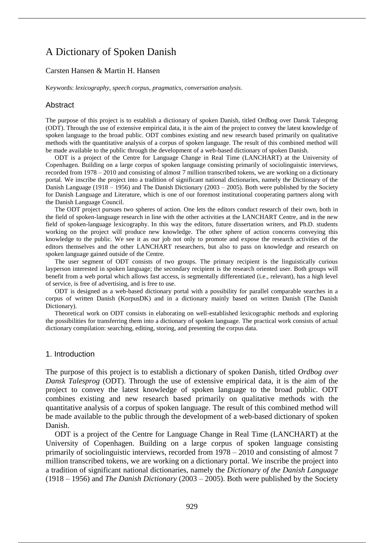# A Dictionary of Spoken Danish

#### Carsten Hansen & Martin H. Hansen

Keywords: *lexicography*, *speech corpus*, *pragmatics*, *conversation analysis*.

#### **Abstract**

The purpose of this project is to establish a dictionary of spoken Danish, titled Ordbog over Dansk Talesprog (ODT). Through the use of extensive empirical data, it is the aim of the project to convey the latest knowledge of spoken language to the broad public. ODT combines existing and new research based primarily on qualitative methods with the quantitative analysis of a corpus of spoken language. The result of this combined method will be made available to the public through the development of a web-based dictionary of spoken Danish.

ODT is a project of the Centre for Language Change in Real Time (LANCHART) at the University of Copenhagen. Building on a large corpus of spoken language consisting primarily of sociolinguistic interviews, recorded from 1978 – 2010 and consisting of almost 7 million transcribed tokens, we are working on a dictionary portal. We inscribe the project into a tradition of significant national dictionaries, namely the Dictionary of the Danish Language (1918 – 1956) and The Danish Dictionary (2003 – 2005). Both were published by the Society for Danish Language and Literature, which is one of our foremost institutional cooperating partners along with the Danish Language Council.

The ODT project pursues two spheres of action. One lets the editors conduct research of their own, both in the field of spoken-language research in line with the other activities at the LANCHART Centre, and in the new field of spoken-language lexicography. In this way the editors, future dissertation writers, and Ph.D. students working on the project will produce new knowledge. The other sphere of action concerns conveying this knowledge to the public. We see it as our job not only to promote and expose the research activities of the editors themselves and the other LANCHART researchers, but also to pass on knowledge and research on spoken language gained outside of the Centre.

The user segment of ODT consists of two groups. The primary recipient is the linguistically curious layperson interested in spoken language; the secondary recipient is the research oriented user. Both groups will benefit from a web portal which allows fast access, is segmentally differentiated (i.e., relevant), has a high level of service, is free of advertising, and is free to use.

ODT is designed as a web-based dictionary portal with a possibility for parallel comparable searches in a corpus of written Danish (KorpusDK) and in a dictionary mainly based on written Danish (The Danish Dictionary).

Theoretical work on ODT consists in elaborating on well-established lexicographic methods and exploring the possibilities for transferring them into a dictionary of spoken language. The practical work consists of actual dictionary compilation: searching, editing, storing, and presenting the corpus data.

#### 1. Introduction

The purpose of this project is to establish a dictionary of spoken Danish, titled *Ordbog over Dansk Talesprog* (ODT). Through the use of extensive empirical data, it is the aim of the project to convey the latest knowledge of spoken language to the broad public. ODT combines existing and new research based primarily on qualitative methods with the quantitative analysis of a corpus of spoken language. The result of this combined method will be made available to the public through the development of a web-based dictionary of spoken Danish.

ODT is a project of the Centre for Language Change in Real Time (LANCHART) at the University of Copenhagen. Building on a large corpus of spoken language consisting primarily of sociolinguistic interviews, recorded from 1978 – 2010 and consisting of almost 7 million transcribed tokens, we are working on a dictionary portal. We inscribe the project into a tradition of significant national dictionaries, namely the *Dictionary of the Danish Language* (1918 – 1956) and *The Danish Dictionary* (2003 – 2005). Both were published by the Society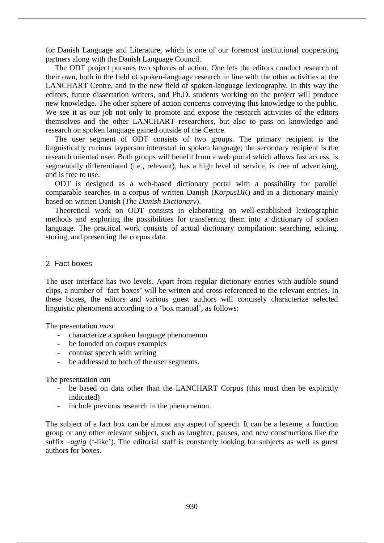for Danish Language and Literature, which is one of our foremost institutional cooperating partners along with the Danish Language Council.

The ODT project pursues two spheres of action. One lets the editors conduct research of their own, both in the field of spoken-language research in line with the other activities at the LANCHART Centre, and in the new field of spoken-language lexicography. In this way the editors, future dissertation writers, and Ph.D. students working on the project will produce new knowledge. The other sphere of action concerns conveying this knowledge to the public. We see it as our job not only to promote and expose the research activities of the editors themselves and the other LANCHART researchers, but also to pass on knowledge and research on spoken language gained outside of the Centre.

The user segment of ODT consists of two groups. The primary recipient is the linguistically curious layperson interested in spoken language; the secondary recipient is the research oriented user. Both groups will benefit from a web portal which allows fast access, is segmentally differentiated (i.e., relevant), has a high level of service, is free of advertising, and is free to use.

ODT is designed as a web-based dictionary portal with a possibility for parallel comparable searches in a corpus of written Danish (*KorpusDK*) and in a dictionary mainly based on written Danish (*The Danish Dictionary*).

Theoretical work on ODT consists in elaborating on well-established lexicographic methods and exploring the possibilities for transferring them into a dictionary of spoken language. The practical work consists of actual dictionary compilation: searching, editing, storing, and presenting the corpus data.

## 2. Fact boxes

The user interface has two levels. Apart from regular dictionary entries with audible sound clips, a number of 'fact boxes' will be written and cross-referenced to the relevant entries. In these boxes, the editors and various guest authors will concisely characterize selected linguistic phenomena according to a 'box manual', as follows:

The presentation *must*

- characterize a spoken language phenomenon
- be founded on corpus examples
- contrast speech with writing
- be addressed to both of the user segments.

The presentation *can* 

- be based on data other than the LANCHART Corpus (this must then be explicitly indicated)
- include previous research in the phenomenon.

The subject of a fact box can be almost any aspect of speech. It can be a lexeme, a function group or any other relevant subject, such as laughter, pauses, and new constructions like the suffix *–agtig* ('-like'). The editorial staff is constantly looking for subjects as well as guest authors for boxes.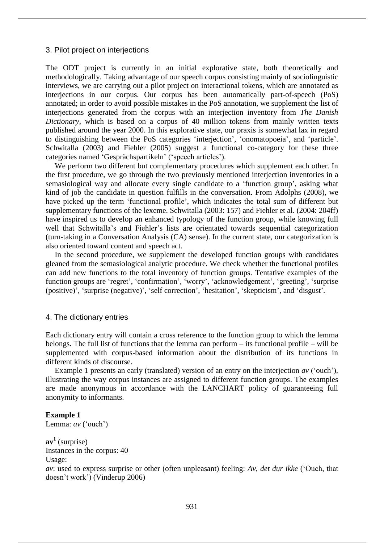#### 3. Pilot project on interjections

The ODT project is currently in an initial explorative state, both theoretically and methodologically. Taking advantage of our speech corpus consisting mainly of sociolinguistic interviews, we are carrying out a pilot project on interactional tokens, which are annotated as interjections in our corpus. Our corpus has been automatically part-of-speech (PoS) annotated; in order to avoid possible mistakes in the PoS annotation, we supplement the list of interjections generated from the corpus with an interjection inventory from *The Danish Dictionary*, which is based on a corpus of 40 million tokens from mainly written texts published around the year 2000. In this explorative state, our praxis is somewhat lax in regard to distinguishing between the PoS categories 'interjection', 'onomatopoeia', and 'particle'. Schwitalla (2003) and Fiehler (2005) suggest a functional co-category for these three categories named 'Gesprächspartikeln' ('speech articles').

We perform two different but complementary procedures which supplement each other. In the first procedure, we go through the two previously mentioned interjection inventories in a semasiological way and allocate every single candidate to a 'function group', asking what kind of job the candidate in question fulfills in the conversation. From Adolphs (2008), we have picked up the term 'functional profile', which indicates the total sum of different but supplementary functions of the lexeme. Schwitalla (2003: 157) and Fiehler et al. (2004: 204ff) have inspired us to develop an enhanced typology of the function group, while knowing full well that Schwitalla's and Fiehler's lists are orientated towards sequential categorization (turn-taking in a Conversation Analysis (CA) sense). In the current state, our categorization is also oriented toward content and speech act.

In the second procedure, we supplement the developed function groups with candidates gleaned from the semasiological analytic procedure. We check whether the functional profiles can add new functions to the total inventory of function groups. Tentative examples of the function groups are 'regret', 'confirmation', 'worry', 'acknowledgement', 'greeting', 'surprise (positive)', 'surprise (negative)', 'self correction', 'hesitation', 'skepticism', and 'disgust'*.*

#### 4. The dictionary entries

Each dictionary entry will contain a cross reference to the function group to which the lemma belongs. The full list of functions that the lemma can perform – its functional profile – will be supplemented with corpus-based information about the distribution of its functions in different kinds of discourse.

Example 1 presents an early (translated) version of an entry on the interjection *av* ('ouch'), illustrating the way corpus instances are assigned to different function groups. The examples are made anonymous in accordance with the LANCHART policy of guaranteeing full anonymity to informants.

# **Example 1**

```
Lemma: av ('ouch')
```
**av<sup>1</sup>** (surprise) Instances in the corpus: 40

#### Usage:

*av*: used to express surprise or other (often unpleasant) feeling: *Av, det dur ikke* ('Ouch, that doesn't work') (Vinderup 2006)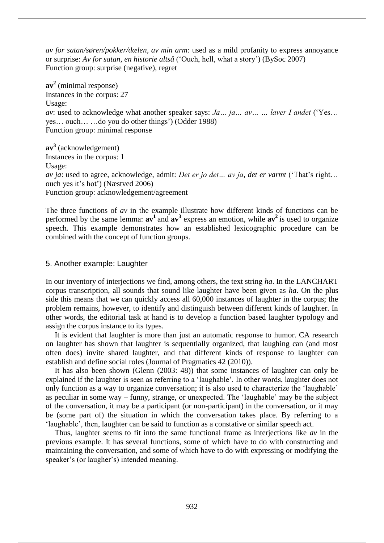*av for satan/søren/pokker/dælen, av min arm*: used as a mild profanity to express annoyance or surprise: *Av for satan, en historie altså* ('Ouch, hell, what a story') (BySoc 2007) Function group: surprise (negative), regret

**av<sup>2</sup>** (minimal response) Instances in the corpus: 27 Usage: *av*: used to acknowledge what another speaker says: *Ja… ja… av… … laver I andet* ('Yes… yes… ouch… …do you do other things') (Odder 1988) Function group: minimal response

**av<sup>3</sup>** (acknowledgement) Instances in the corpus: 1 Usage: *av ja*: used to agree, acknowledge, admit: *Det er jo det… av ja, det er varmt* ('That's right… ouch yes it's hot') (Næstved 2006) Function group: acknowledgement/agreement

The three functions of *av* in the example illustrate how different kinds of functions can be performed by the same lemma:  $av^1$  and  $av^3$  express an emotion, while  $av^2$  is used to organize speech. This example demonstrates how an established lexicographic procedure can be combined with the concept of function groups.

## 5. Another example: Laughter

In our inventory of interjections we find, among others, the text string *ha*. In the LANCHART corpus transcription, all sounds that sound like laughter have been given as *ha*. On the plus side this means that we can quickly access all 60,000 instances of laughter in the corpus; the problem remains, however, to identify and distinguish between different kinds of laughter. In other words, the editorial task at hand is to develop a function based laughter typology and assign the corpus instance to its types.

It is evident that laughter is more than just an automatic response to humor. CA research on laughter has shown that laughter is sequentially organized, that laughing can (and most often does) invite shared laughter, and that different kinds of response to laughter can establish and define social roles (Journal of Pragmatics 42 (2010)).

It has also been shown (Glenn (2003: 48)) that some instances of laughter can only be explained if the laughter is seen as referring to a 'laughable'. In other words, laughter does not only function as a way to organize conversation; it is also used to characterize the 'laughable' as peculiar in some way – funny, strange, or unexpected. The 'laughable' may be the subject of the conversation, it may be a participant (or non-participant) in the conversation, or it may be (some part of) the situation in which the conversation takes place. By referring to a 'laughable', then, laughter can be said to function as a constative or similar speech act.

Thus, laughter seems to fit into the same functional frame as interjections like *av* in the previous example. It has several functions, some of which have to do with constructing and maintaining the conversation, and some of which have to do with expressing or modifying the speaker's (or laugher's) intended meaning.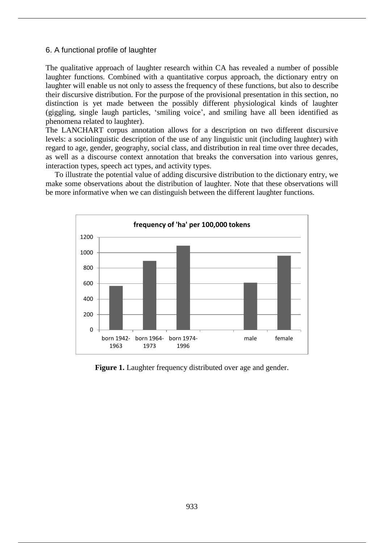## 6. A functional profile of laughter

The qualitative approach of laughter research within CA has revealed a number of possible laughter functions. Combined with a quantitative corpus approach, the dictionary entry on laughter will enable us not only to assess the frequency of these functions, but also to describe their discursive distribution. For the purpose of the provisional presentation in this section, no distinction is yet made between the possibly different physiological kinds of laughter (giggling, single laugh particles, 'smiling voice', and smiling have all been identified as phenomena related to laughter).

The LANCHART corpus annotation allows for a description on two different discursive levels: a sociolinguistic description of the use of any linguistic unit (including laughter) with regard to age, gender, geography, social class, and distribution in real time over three decades, as well as a discourse context annotation that breaks the conversation into various genres, interaction types, speech act types, and activity types.

To illustrate the potential value of adding discursive distribution to the dictionary entry, we make some observations about the distribution of laughter. Note that these observations will be more informative when we can distinguish between the different laughter functions.



**Figure 1.** Laughter frequency distributed over age and gender.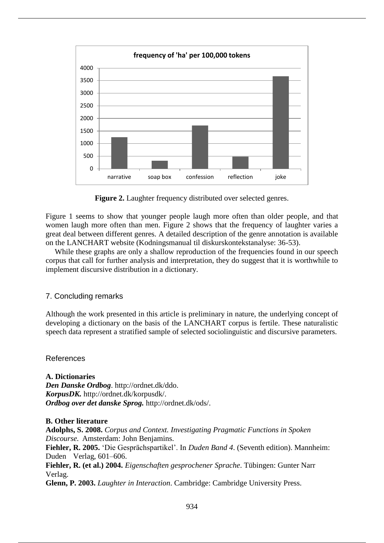

**Figure 2.** Laughter frequency distributed over selected genres.

Figure 1 seems to show that younger people laugh more often than older people, and that women laugh more often than men. Figure 2 shows that the frequency of laughter varies a great deal between different genres. A detailed description of the genre annotation is available on the LANCHART website (Kodningsmanual til diskurskontekstanalyse: 36-53).

While these graphs are only a shallow reproduction of the frequencies found in our speech corpus that call for further analysis and interpretation, they do suggest that it is worthwhile to implement discursive distribution in a dictionary.

# 7. Concluding remarks

Although the work presented in this article is preliminary in nature, the underlying concept of developing a dictionary on the basis of the LANCHART corpus is fertile. These naturalistic speech data represent a stratified sample of selected sociolinguistic and discursive parameters.

#### References

**A. Dictionaries** *Den Danske Ordbog*. http://ordnet.dk/ddo. *KorpusDK.* http://ordnet.dk/korpusdk/. *Ordbog over det danske Sprog.* http://ordnet.dk/ods/.

#### **B. Other literature**

**Adolphs, S. 2008.** *Corpus and Context. Investigating Pragmatic Functions in Spoken Discourse.* Amsterdam: John Benjamins. **Fiehler, R. 2005.** 'Die Gesprächspartikel'. In *Duden Band 4*. (Seventh edition). Mannheim: Duden Verlag, 601*–*606. **Fiehler, R. (et al.) 2004.** *Eigenschaften gesprochener Sprache*. Tübingen: Gunter Narr Verlag. **Glenn, P. 2003.** *Laughter in Interaction*. Cambridge: Cambridge University Press.